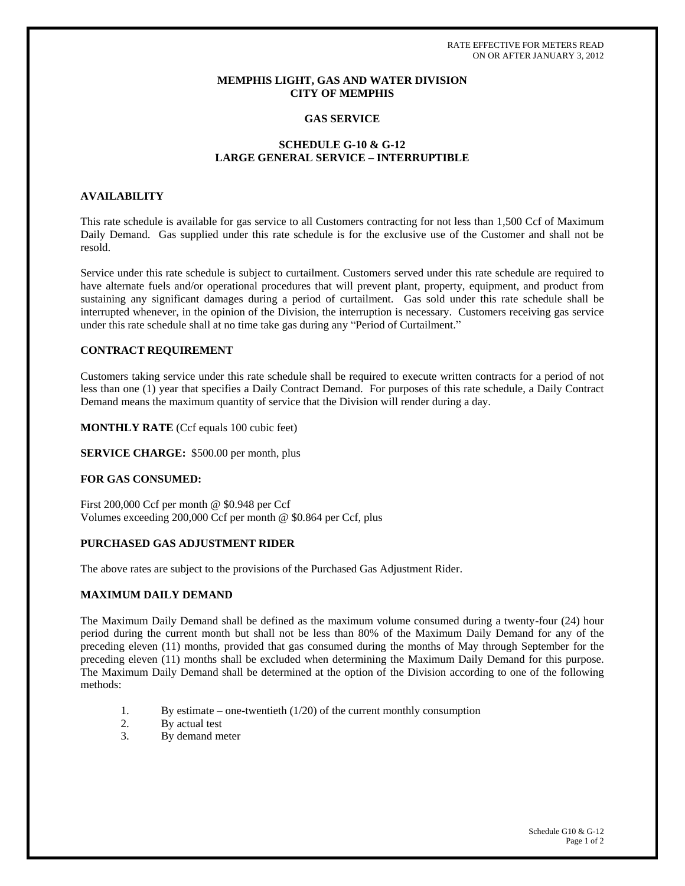RATE EFFECTIVE FOR METERS READ ON OR AFTER JANUARY 3, 2012

# **MEMPHIS LIGHT, GAS AND WATER DIVISION CITY OF MEMPHIS**

# **GAS SERVICE**

## **SCHEDULE G-10 & G-12 LARGE GENERAL SERVICE – INTERRUPTIBLE**

## **AVAILABILITY**

This rate schedule is available for gas service to all Customers contracting for not less than 1,500 Ccf of Maximum Daily Demand. Gas supplied under this rate schedule is for the exclusive use of the Customer and shall not be resold.

Service under this rate schedule is subject to curtailment. Customers served under this rate schedule are required to have alternate fuels and/or operational procedures that will prevent plant, property, equipment, and product from sustaining any significant damages during a period of curtailment. Gas sold under this rate schedule shall be interrupted whenever, in the opinion of the Division, the interruption is necessary. Customers receiving gas service under this rate schedule shall at no time take gas during any "Period of Curtailment."

# **CONTRACT REQUIREMENT**

Customers taking service under this rate schedule shall be required to execute written contracts for a period of not less than one (1) year that specifies a Daily Contract Demand. For purposes of this rate schedule, a Daily Contract Demand means the maximum quantity of service that the Division will render during a day.

#### **MONTHLY RATE** (Ccf equals 100 cubic feet)

#### **SERVICE CHARGE:** \$500.00 per month, plus

## **FOR GAS CONSUMED:**

First 200,000 Ccf per month @ \$0.948 per Ccf Volumes exceeding 200,000 Ccf per month @ \$0.864 per Ccf, plus

## **PURCHASED GAS ADJUSTMENT RIDER**

The above rates are subject to the provisions of the Purchased Gas Adjustment Rider.

### **MAXIMUM DAILY DEMAND**

The Maximum Daily Demand shall be defined as the maximum volume consumed during a twenty-four (24) hour period during the current month but shall not be less than 80% of the Maximum Daily Demand for any of the preceding eleven (11) months, provided that gas consumed during the months of May through September for the preceding eleven (11) months shall be excluded when determining the Maximum Daily Demand for this purpose. The Maximum Daily Demand shall be determined at the option of the Division according to one of the following methods:

- 1. By estimate one-twentieth  $(1/20)$  of the current monthly consumption
- 2. By actual test
- 3. By demand meter